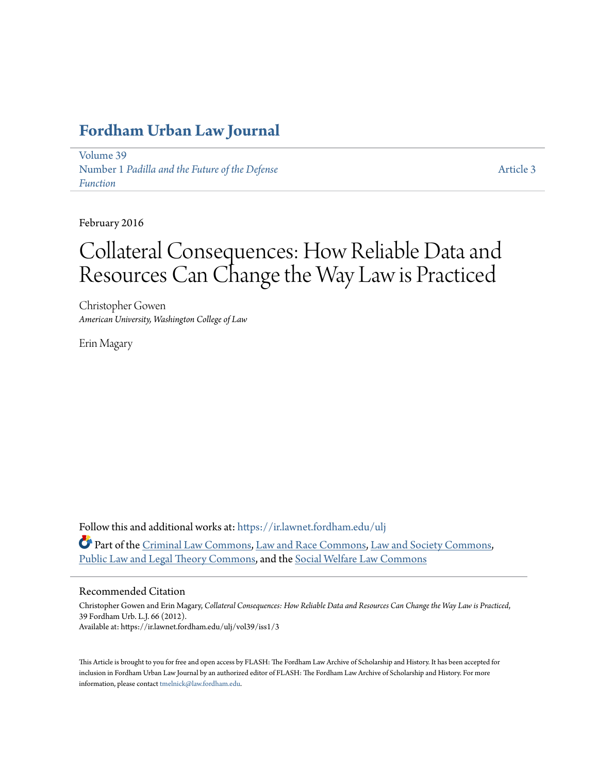# **[Fordham Urban Law Journal](https://ir.lawnet.fordham.edu/ulj?utm_source=ir.lawnet.fordham.edu%2Fulj%2Fvol39%2Fiss1%2F3&utm_medium=PDF&utm_campaign=PDFCoverPages)**

[Volume 39](https://ir.lawnet.fordham.edu/ulj/vol39?utm_source=ir.lawnet.fordham.edu%2Fulj%2Fvol39%2Fiss1%2F3&utm_medium=PDF&utm_campaign=PDFCoverPages) Number 1 *[Padilla and the Future of the Defense](https://ir.lawnet.fordham.edu/ulj/vol39/iss1?utm_source=ir.lawnet.fordham.edu%2Fulj%2Fvol39%2Fiss1%2F3&utm_medium=PDF&utm_campaign=PDFCoverPages) [Function](https://ir.lawnet.fordham.edu/ulj/vol39/iss1?utm_source=ir.lawnet.fordham.edu%2Fulj%2Fvol39%2Fiss1%2F3&utm_medium=PDF&utm_campaign=PDFCoverPages)*

[Article 3](https://ir.lawnet.fordham.edu/ulj/vol39/iss1/3?utm_source=ir.lawnet.fordham.edu%2Fulj%2Fvol39%2Fiss1%2F3&utm_medium=PDF&utm_campaign=PDFCoverPages)

February 2016

# Collateral Consequences: How Reliable Data and Resources Can Change the Way Law is Practiced

Christopher Gowen *American University, Washington College of Law*

Erin Magary

Follow this and additional works at: [https://ir.lawnet.fordham.edu/ulj](https://ir.lawnet.fordham.edu/ulj?utm_source=ir.lawnet.fordham.edu%2Fulj%2Fvol39%2Fiss1%2F3&utm_medium=PDF&utm_campaign=PDFCoverPages) Part of the [Criminal Law Commons](http://network.bepress.com/hgg/discipline/912?utm_source=ir.lawnet.fordham.edu%2Fulj%2Fvol39%2Fiss1%2F3&utm_medium=PDF&utm_campaign=PDFCoverPages), [Law and Race Commons,](http://network.bepress.com/hgg/discipline/1300?utm_source=ir.lawnet.fordham.edu%2Fulj%2Fvol39%2Fiss1%2F3&utm_medium=PDF&utm_campaign=PDFCoverPages) [Law and Society Commons](http://network.bepress.com/hgg/discipline/853?utm_source=ir.lawnet.fordham.edu%2Fulj%2Fvol39%2Fiss1%2F3&utm_medium=PDF&utm_campaign=PDFCoverPages), [Public Law and Legal Theory Commons,](http://network.bepress.com/hgg/discipline/871?utm_source=ir.lawnet.fordham.edu%2Fulj%2Fvol39%2Fiss1%2F3&utm_medium=PDF&utm_campaign=PDFCoverPages) and the [Social Welfare Law Commons](http://network.bepress.com/hgg/discipline/878?utm_source=ir.lawnet.fordham.edu%2Fulj%2Fvol39%2Fiss1%2F3&utm_medium=PDF&utm_campaign=PDFCoverPages)

#### Recommended Citation

Christopher Gowen and Erin Magary, *Collateral Consequences: How Reliable Data and Resources Can Change the Way Law is Practiced*, 39 Fordham Urb. L.J. 66 (2012). Available at: https://ir.lawnet.fordham.edu/ulj/vol39/iss1/3

This Article is brought to you for free and open access by FLASH: The Fordham Law Archive of Scholarship and History. It has been accepted for inclusion in Fordham Urban Law Journal by an authorized editor of FLASH: The Fordham Law Archive of Scholarship and History. For more information, please contact [tmelnick@law.fordham.edu](mailto:tmelnick@law.fordham.edu).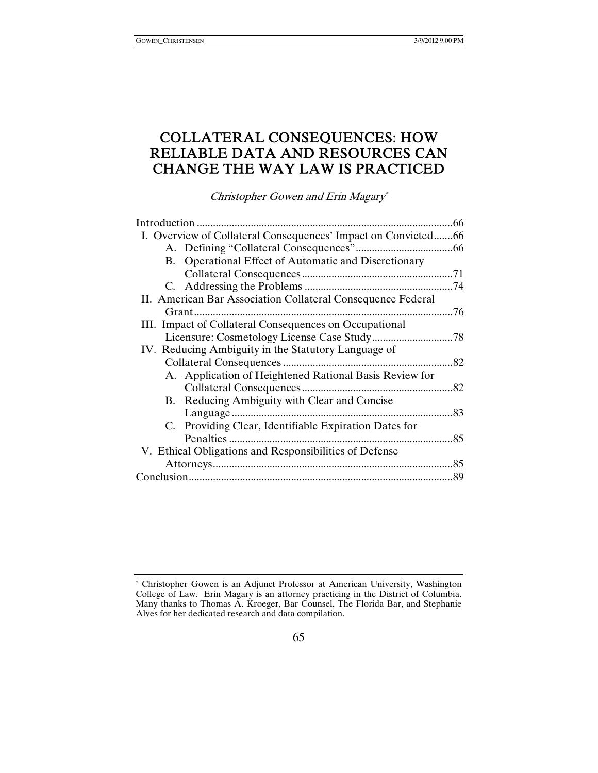## COLLATERAL CONSEQUENCES: HOW RELIABLE DATA AND RESOURCES CAN CHANGE THE WAY LAW IS PRACTICED

Christopher Gowen and Erin Magary\*

| Introduction                                                  |                                                        | 66  |
|---------------------------------------------------------------|--------------------------------------------------------|-----|
| I. Overview of Collateral Consequences' Impact on Convicted66 |                                                        |     |
|                                                               |                                                        |     |
|                                                               | B. Operational Effect of Automatic and Discretionary   |     |
|                                                               |                                                        |     |
|                                                               |                                                        |     |
| II. American Bar Association Collateral Consequence Federal   |                                                        |     |
|                                                               | Grant<br>.                                             | .76 |
|                                                               | III. Impact of Collateral Consequences on Occupational |     |
|                                                               |                                                        |     |
| IV. Reducing Ambiguity in the Statutory Language of           |                                                        |     |
|                                                               |                                                        | 82  |
|                                                               | A. Application of Heightened Rational Basis Review for |     |
|                                                               |                                                        | .82 |
|                                                               | B. Reducing Ambiguity with Clear and Concise           |     |
|                                                               |                                                        | .83 |
|                                                               | C. Providing Clear, Identifiable Expiration Dates for  |     |
|                                                               |                                                        | 85  |
| V. Ethical Obligations and Responsibilities of Defense        |                                                        |     |
|                                                               |                                                        | 85  |
|                                                               |                                                        | 89  |
|                                                               |                                                        |     |

<sup>\*</sup> Christopher Gowen is an Adjunct Professor at American University, Washington College of Law. Erin Magary is an attorney practicing in the District of Columbia. Many thanks to Thomas A. Kroeger, Bar Counsel, The Florida Bar, and Stephanie Alves for her dedicated research and data compilation.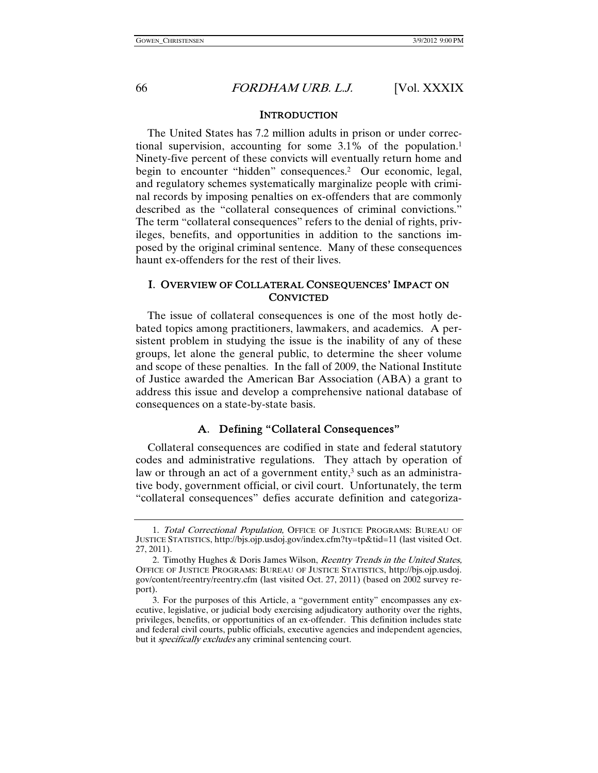#### **INTRODUCTION**

The United States has 7.2 million adults in prison or under correctional supervision, accounting for some 3.1% of the population.1 Ninety-five percent of these convicts will eventually return home and begin to encounter "hidden" consequences.<sup>2</sup> Our economic, legal, and regulatory schemes systematically marginalize people with criminal records by imposing penalties on ex-offenders that are commonly described as the "collateral consequences of criminal convictions." The term "collateral consequences" refers to the denial of rights, privileges, benefits, and opportunities in addition to the sanctions imposed by the original criminal sentence. Many of these consequences haunt ex-offenders for the rest of their lives.

#### I. OVERVIEW OF COLLATERAL CONSEQUENCES' IMPACT ON CONVICTED

The issue of collateral consequences is one of the most hotly debated topics among practitioners, lawmakers, and academics. A persistent problem in studying the issue is the inability of any of these groups, let alone the general public, to determine the sheer volume and scope of these penalties. In the fall of 2009, the National Institute of Justice awarded the American Bar Association (ABA) a grant to address this issue and develop a comprehensive national database of consequences on a state-by-state basis.

#### A. Defining "Collateral Consequences"

Collateral consequences are codified in state and federal statutory codes and administrative regulations. They attach by operation of law or through an act of a government entity, $3$  such as an administrative body, government official, or civil court. Unfortunately, the term "collateral consequences" defies accurate definition and categoriza-

 <sup>1.</sup> Total Correctional Population, OFFICE OF JUSTICE PROGRAMS: BUREAU OF JUSTICE STATISTICS, http://bjs.ojp.usdoj.gov/index.cfm?ty=tp&tid=11 (last visited Oct. 27, 2011).

 <sup>2.</sup> Timothy Hughes & Doris James Wilson, Reentry Trends in the United States, OFFICE OF JUSTICE PROGRAMS: BUREAU OF JUSTICE STATISTICS, http://bjs.ojp.usdoj. gov/content/reentry/reentry.cfm (last visited Oct. 27, 2011) (based on 2002 survey report).

 <sup>3.</sup> For the purposes of this Article, a "government entity" encompasses any executive, legislative, or judicial body exercising adjudicatory authority over the rights, privileges, benefits, or opportunities of an ex-offender. This definition includes state and federal civil courts, public officials, executive agencies and independent agencies, but it *specifically excludes* any criminal sentencing court.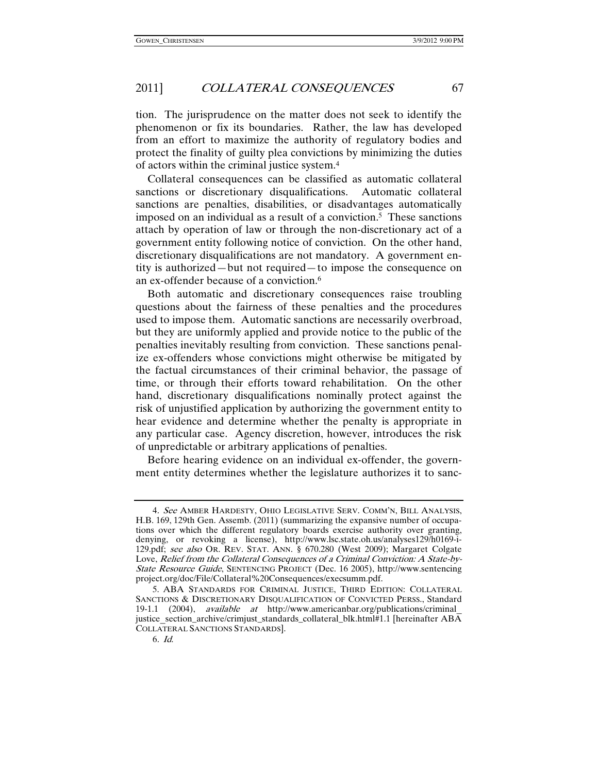tion. The jurisprudence on the matter does not seek to identify the phenomenon or fix its boundaries. Rather, the law has developed from an effort to maximize the authority of regulatory bodies and protect the finality of guilty plea convictions by minimizing the duties of actors within the criminal justice system.4

Collateral consequences can be classified as automatic collateral sanctions or discretionary disqualifications. Automatic collateral sanctions are penalties, disabilities, or disadvantages automatically imposed on an individual as a result of a conviction.5 These sanctions attach by operation of law or through the non-discretionary act of a government entity following notice of conviction. On the other hand, discretionary disqualifications are not mandatory. A government entity is authorized—but not required—to impose the consequence on an ex-offender because of a conviction.6

Both automatic and discretionary consequences raise troubling questions about the fairness of these penalties and the procedures used to impose them. Automatic sanctions are necessarily overbroad, but they are uniformly applied and provide notice to the public of the penalties inevitably resulting from conviction. These sanctions penalize ex-offenders whose convictions might otherwise be mitigated by the factual circumstances of their criminal behavior, the passage of time, or through their efforts toward rehabilitation. On the other hand, discretionary disqualifications nominally protect against the risk of unjustified application by authorizing the government entity to hear evidence and determine whether the penalty is appropriate in any particular case. Agency discretion, however, introduces the risk of unpredictable or arbitrary applications of penalties.

Before hearing evidence on an individual ex-offender, the government entity determines whether the legislature authorizes it to sanc-

<sup>4.</sup> See AMBER HARDESTY, OHIO LEGISLATIVE SERV. COMM'N, BILL ANALYSIS, H.B. 169, 129th Gen. Assemb. (2011) (summarizing the expansive number of occupations over which the different regulatory boards exercise authority over granting, denying, or revoking a license), http://www.lsc.state.oh.us/analyses129/h0169-i-129.pdf; see also OR. REV. STAT. ANN. § 670.280 (West 2009); Margaret Colgate Love, Relief from the Collateral Consequences of a Criminal Conviction: A State-by-State Resource Guide, SENTENCING PROJECT (Dec. 16 2005), http://www.sentencing project.org/doc/File/Collateral%20Consequences/execsumm.pdf.

 <sup>5.</sup> ABA STANDARDS FOR CRIMINAL JUSTICE, THIRD EDITION: COLLATERAL SANCTIONS & DISCRETIONARY DISQUALIFICATION OF CONVICTED PERSS., Standard 19-1.1 (2004), available at http://www.americanbar.org/publications/criminal\_ justice\_section\_archive/crimjust\_standards\_collateral\_blk.html#1.1 [hereinafter ABA COLLATERAL SANCTIONS STANDARDS].

<sup>6</sup>. Id.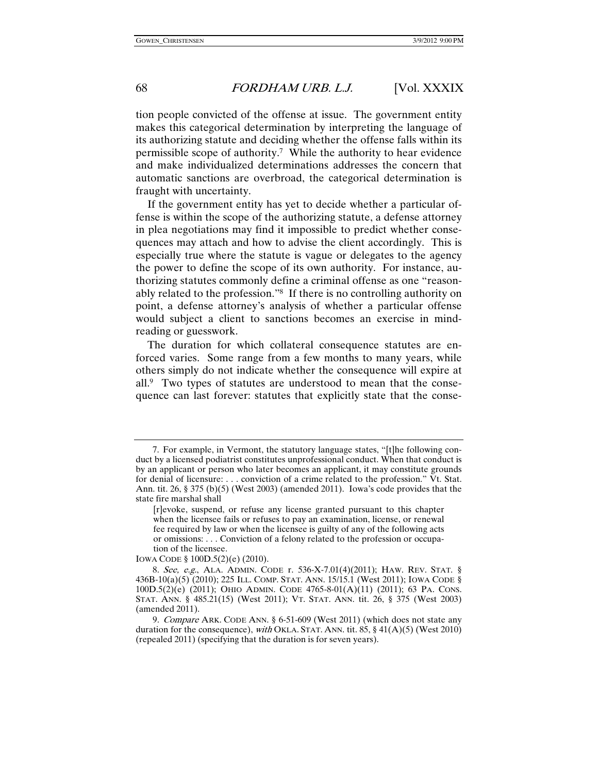tion people convicted of the offense at issue. The government entity makes this categorical determination by interpreting the language of its authorizing statute and deciding whether the offense falls within its permissible scope of authority.7 While the authority to hear evidence and make individualized determinations addresses the concern that automatic sanctions are overbroad, the categorical determination is fraught with uncertainty.

If the government entity has yet to decide whether a particular offense is within the scope of the authorizing statute, a defense attorney in plea negotiations may find it impossible to predict whether consequences may attach and how to advise the client accordingly. This is especially true where the statute is vague or delegates to the agency the power to define the scope of its own authority. For instance, authorizing statutes commonly define a criminal offense as one "reasonably related to the profession."8 If there is no controlling authority on point, a defense attorney's analysis of whether a particular offense would subject a client to sanctions becomes an exercise in mindreading or guesswork.

The duration for which collateral consequence statutes are enforced varies. Some range from a few months to many years, while others simply do not indicate whether the consequence will expire at all.9 Two types of statutes are understood to mean that the consequence can last forever: statutes that explicitly state that the conse-

IOWA CODE § 100D.5(2)(e) (2010).

 <sup>7.</sup> For example, in Vermont, the statutory language states, "[t]he following conduct by a licensed podiatrist constitutes unprofessional conduct. When that conduct is by an applicant or person who later becomes an applicant, it may constitute grounds for denial of licensure: . . . conviction of a crime related to the profession." Vt. Stat. Ann. tit. 26, § 375 (b)(5) (West 2003) (amended 2011). Iowa's code provides that the state fire marshal shall

<sup>[</sup>r]evoke, suspend, or refuse any license granted pursuant to this chapter when the licensee fails or refuses to pay an examination, license, or renewal fee required by law or when the licensee is guilty of any of the following acts or omissions: . . . Conviction of a felony related to the profession or occupation of the licensee.

<sup>8</sup>. See, e.g., ALA. ADMIN. CODE r. 536-X-7.01(4)(2011); HAW. REV. STAT. § 436B-10(a)(5) (2010); 225 ILL. COMP. STAT. ANN. 15/15.1 (West 2011); IOWA CODE § 100D.5(2)(e) (2011); OHIO ADMIN. CODE 4765-8-01(A)(11) (2011); 63 PA. CONS. STAT. ANN. § 485.21(15) (West 2011); VT. STAT. ANN. tit. 26, § 375 (West 2003) (amended 2011).

<sup>9</sup>. Compare ARK. CODE ANN. § 6-51-609 (West 2011) (which does not state any duration for the consequence), with OKLA. STAT. ANN. tit. 85, § 41(A)(5) (West 2010) (repealed 2011) (specifying that the duration is for seven years).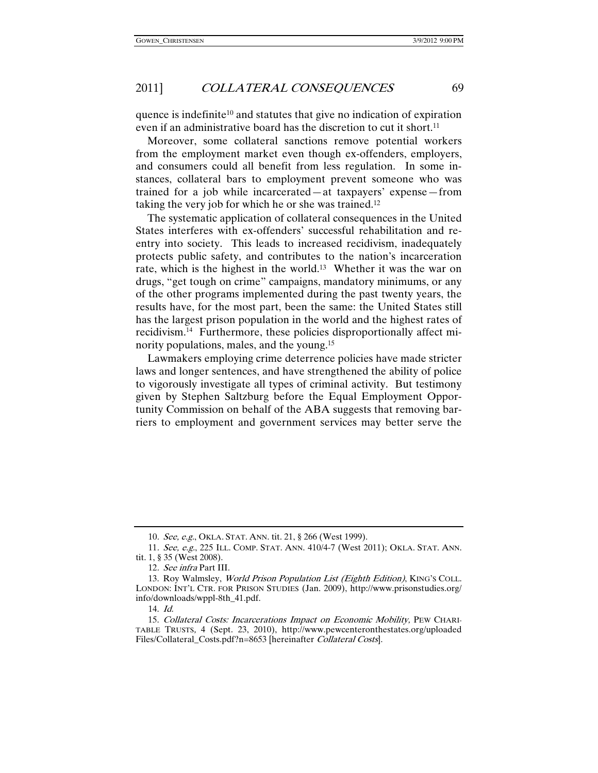quence is indefinite<sup>10</sup> and statutes that give no indication of expiration even if an administrative board has the discretion to cut it short.<sup>11</sup>

Moreover, some collateral sanctions remove potential workers from the employment market even though ex-offenders, employers, and consumers could all benefit from less regulation. In some instances, collateral bars to employment prevent someone who was trained for a job while incarcerated—at taxpayers' expense—from taking the very job for which he or she was trained.12

The systematic application of collateral consequences in the United States interferes with ex-offenders' successful rehabilitation and reentry into society. This leads to increased recidivism, inadequately protects public safety, and contributes to the nation's incarceration rate, which is the highest in the world.13 Whether it was the war on drugs, "get tough on crime" campaigns, mandatory minimums, or any of the other programs implemented during the past twenty years, the results have, for the most part, been the same: the United States still has the largest prison population in the world and the highest rates of recidivism.14 Furthermore, these policies disproportionally affect minority populations, males, and the young.15

Lawmakers employing crime deterrence policies have made stricter laws and longer sentences, and have strengthened the ability of police to vigorously investigate all types of criminal activity. But testimony given by Stephen Saltzburg before the Equal Employment Opportunity Commission on behalf of the ABA suggests that removing barriers to employment and government services may better serve the

<sup>10</sup>. See, e.g., OKLA. STAT. ANN. tit. 21, § 266 (West 1999).

<sup>11</sup>. See, e.g., 225 ILL. COMP. STAT. ANN. 410/4-7 (West 2011); OKLA. STAT. ANN. tit. 1, § 35 (West 2008).

<sup>12</sup>. See infra Part III.

<sup>13.</sup> Roy Walmsley, World Prison Population List (Eighth Edition), KING's COLL. LONDON: INT'L CTR. FOR PRISON STUDIES (Jan. 2009), http://www.prisonstudies.org/ info/downloads/wppl-8th\_41.pdf.

 <sup>14.</sup> Id.

 <sup>15.</sup> Collateral Costs: Incarcerations Impact on Economic Mobility, PEW CHARI-TABLE TRUSTS, 4 (Sept. 23, 2010), http://www.pewcenteronthestates.org/uploaded Files/Collateral\_Costs.pdf?n=8653 [hereinafter *Collateral Costs*].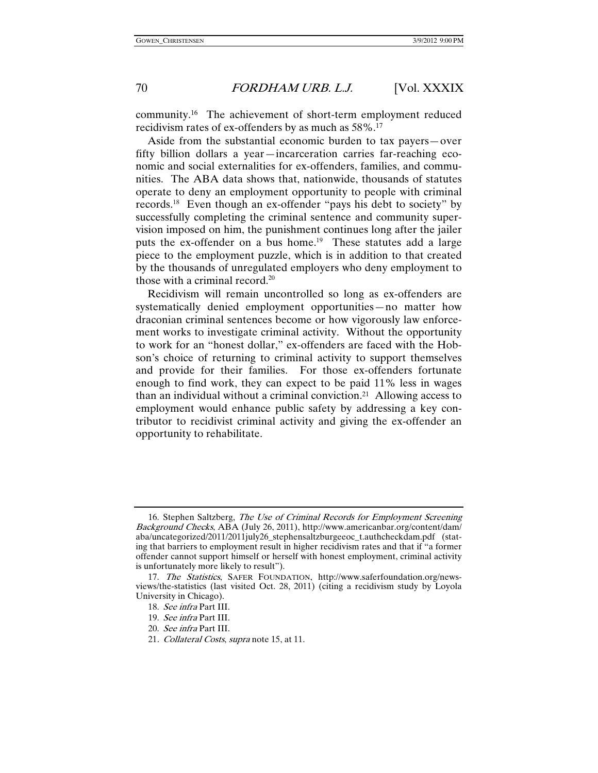community.16 The achievement of short-term employment reduced recidivism rates of ex-offenders by as much as 58%.17

Aside from the substantial economic burden to tax payers—over fifty billion dollars a year—incarceration carries far-reaching economic and social externalities for ex-offenders, families, and communities. The ABA data shows that, nationwide, thousands of statutes operate to deny an employment opportunity to people with criminal records.18 Even though an ex-offender "pays his debt to society" by successfully completing the criminal sentence and community supervision imposed on him, the punishment continues long after the jailer puts the ex-offender on a bus home.<sup>19</sup> These statutes add a large piece to the employment puzzle, which is in addition to that created by the thousands of unregulated employers who deny employment to those with a criminal record.20

Recidivism will remain uncontrolled so long as ex-offenders are systematically denied employment opportunities—no matter how draconian criminal sentences become or how vigorously law enforcement works to investigate criminal activity. Without the opportunity to work for an "honest dollar," ex-offenders are faced with the Hobson's choice of returning to criminal activity to support themselves and provide for their families. For those ex-offenders fortunate enough to find work, they can expect to be paid 11% less in wages than an individual without a criminal conviction.21 Allowing access to employment would enhance public safety by addressing a key contributor to recidivist criminal activity and giving the ex-offender an opportunity to rehabilitate.

 <sup>16.</sup> Stephen Saltzberg, The Use of Criminal Records for Employment Screening Background Checks, ABA (July 26, 2011), http://www.americanbar.org/content/dam/ aba/uncategorized/2011/2011july26\_stephensaltzburgeeoc\_t.authcheckdam.pdf (stating that barriers to employment result in higher recidivism rates and that if "a former offender cannot support himself or herself with honest employment, criminal activity is unfortunately more likely to result").

 <sup>17.</sup> The Statistics, SAFER FOUNDATION, http://www.saferfoundation.org/newsviews/the-statistics (last visited Oct. 28, 2011) (citing a recidivism study by Loyola University in Chicago).

 <sup>18.</sup> See infra Part III.

 <sup>19.</sup> See infra Part III.

 <sup>20.</sup> See infra Part III.

<sup>21.</sup> Collateral Costs, supra note 15, at 11.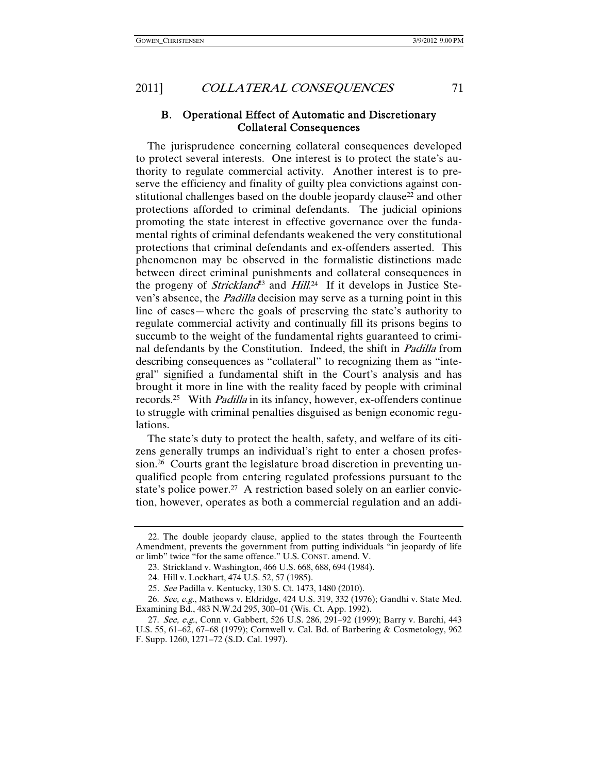B. Operational Effect of Automatic and Discretionary Collateral Consequences

The jurisprudence concerning collateral consequences developed to protect several interests. One interest is to protect the state's authority to regulate commercial activity. Another interest is to preserve the efficiency and finality of guilty plea convictions against constitutional challenges based on the double jeopardy clause<sup>22</sup> and other protections afforded to criminal defendants. The judicial opinions promoting the state interest in effective governance over the fundamental rights of criminal defendants weakened the very constitutional protections that criminal defendants and ex-offenders asserted. This phenomenon may be observed in the formalistic distinctions made between direct criminal punishments and collateral consequences in the progeny of *Strickland*<sup>23</sup> and *Hill*.<sup>24</sup> If it develops in Justice Steven's absence, the Padilla decision may serve as a turning point in this line of cases—where the goals of preserving the state's authority to regulate commercial activity and continually fill its prisons begins to succumb to the weight of the fundamental rights guaranteed to criminal defendants by the Constitution. Indeed, the shift in *Padilla* from describing consequences as "collateral" to recognizing them as "integral" signified a fundamental shift in the Court's analysis and has brought it more in line with the reality faced by people with criminal records.25 With Padilla in its infancy, however, ex-offenders continue to struggle with criminal penalties disguised as benign economic regulations.

The state's duty to protect the health, safety, and welfare of its citizens generally trumps an individual's right to enter a chosen profession.26 Courts grant the legislature broad discretion in preventing unqualified people from entering regulated professions pursuant to the state's police power.<sup>27</sup> A restriction based solely on an earlier conviction, however, operates as both a commercial regulation and an addi-

 <sup>22.</sup> The double jeopardy clause, applied to the states through the Fourteenth Amendment, prevents the government from putting individuals "in jeopardy of life or limb" twice "for the same offence." U.S. CONST. amend. V.

 <sup>23.</sup> Strickland v. Washington, 466 U.S. 668, 688, 694 (1984).

 <sup>24.</sup> Hill v. Lockhart, 474 U.S. 52, 57 (1985).

<sup>25</sup>. See Padilla v. Kentucky, 130 S. Ct. 1473, 1480 (2010).

 <sup>26.</sup> See, e.g., Mathews v. Eldridge, 424 U.S. 319, 332 (1976); Gandhi v. State Med. Examining Bd., 483 N.W.2d 295, 300–01 (Wis. Ct. App. 1992).

 <sup>27.</sup> See, e.g., Conn v. Gabbert, 526 U.S. 286, 291–92 (1999); Barry v. Barchi, 443 U.S. 55, 61–62, 67–68 (1979); Cornwell v. Cal. Bd. of Barbering & Cosmetology, 962 F. Supp. 1260, 1271–72 (S.D. Cal. 1997).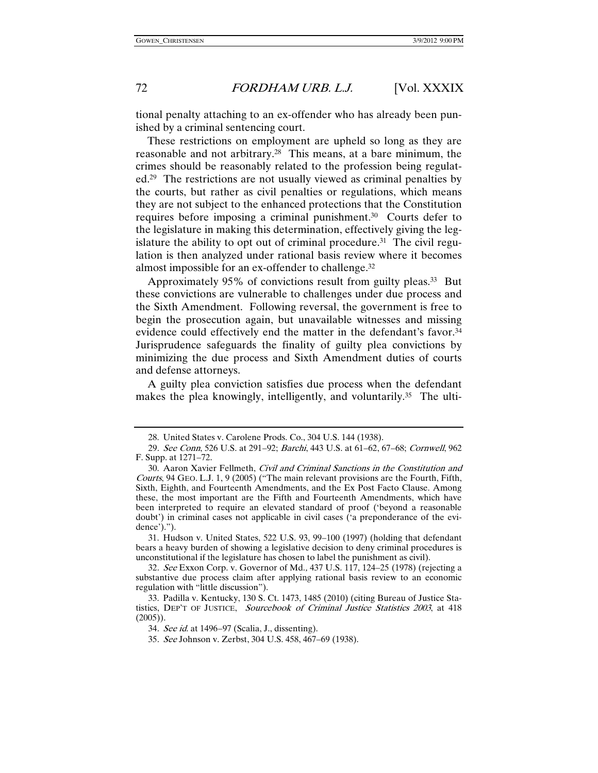tional penalty attaching to an ex-offender who has already been punished by a criminal sentencing court.

These restrictions on employment are upheld so long as they are reasonable and not arbitrary.28 This means, at a bare minimum, the crimes should be reasonably related to the profession being regulated.29 The restrictions are not usually viewed as criminal penalties by the courts, but rather as civil penalties or regulations, which means they are not subject to the enhanced protections that the Constitution requires before imposing a criminal punishment.30 Courts defer to the legislature in making this determination, effectively giving the legislature the ability to opt out of criminal procedure.<sup>31</sup> The civil regulation is then analyzed under rational basis review where it becomes almost impossible for an ex-offender to challenge.32

Approximately 95% of convictions result from guilty pleas.<sup>33</sup> But these convictions are vulnerable to challenges under due process and the Sixth Amendment. Following reversal, the government is free to begin the prosecution again, but unavailable witnesses and missing evidence could effectively end the matter in the defendant's favor.<sup>34</sup> Jurisprudence safeguards the finality of guilty plea convictions by minimizing the due process and Sixth Amendment duties of courts and defense attorneys.

A guilty plea conviction satisfies due process when the defendant makes the plea knowingly, intelligently, and voluntarily.<sup>35</sup> The ulti-

 <sup>28.</sup> United States v. Carolene Prods. Co., 304 U.S. 144 (1938).

<sup>29</sup>. See Conn, 526 U.S. at 291–92; Barchi, 443 U.S. at 61–62, 67–68; Cornwell, 962 F. Supp. at 1271–72.

 <sup>30.</sup> Aaron Xavier Fellmeth, Civil and Criminal Sanctions in the Constitution and Courts, 94 GEO. L.J. 1, 9 (2005) ("The main relevant provisions are the Fourth, Fifth, Sixth, Eighth, and Fourteenth Amendments, and the Ex Post Facto Clause. Among these, the most important are the Fifth and Fourteenth Amendments, which have been interpreted to require an elevated standard of proof ('beyond a reasonable doubt') in criminal cases not applicable in civil cases ('a preponderance of the evidence').").

 <sup>31.</sup> Hudson v. United States, 522 U.S. 93, 99–100 (1997) (holding that defendant bears a heavy burden of showing a legislative decision to deny criminal procedures is unconstitutional if the legislature has chosen to label the punishment as civil).

<sup>32</sup>. See Exxon Corp. v. Governor of Md., 437 U.S. 117, 124–25 (1978) (rejecting a substantive due process claim after applying rational basis review to an economic regulation with "little discussion").

 <sup>33.</sup> Padilla v. Kentucky, 130 S. Ct. 1473, 1485 (2010) (citing Bureau of Justice Statistics, DEP'T OF JUSTICE, Sourcebook of Criminal Justice Statistics 2003, at 418 (2005)).

<sup>34</sup>. See id. at 1496–97 (Scalia, J., dissenting).

<sup>35</sup>. See Johnson v. Zerbst, 304 U.S. 458, 467–69 (1938).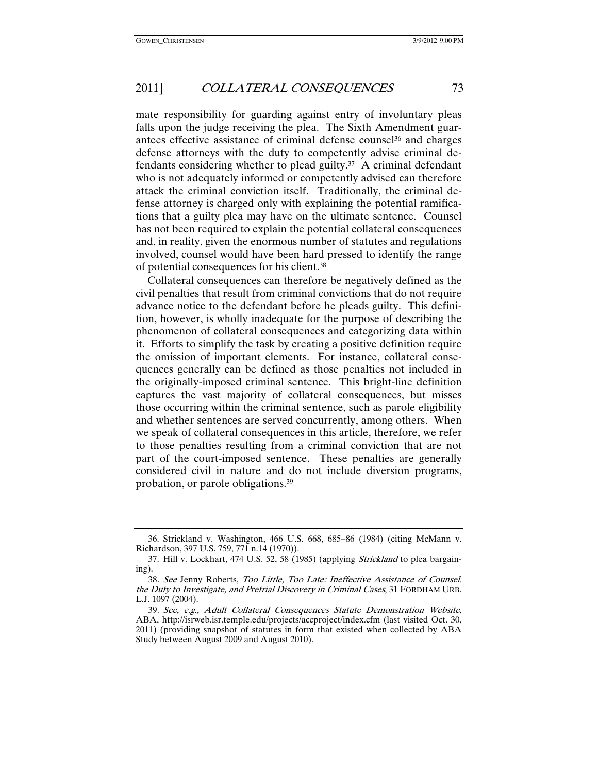mate responsibility for guarding against entry of involuntary pleas falls upon the judge receiving the plea. The Sixth Amendment guarantees effective assistance of criminal defense counsel<sup>36</sup> and charges defense attorneys with the duty to competently advise criminal defendants considering whether to plead guilty.<sup>37</sup> A criminal defendant who is not adequately informed or competently advised can therefore attack the criminal conviction itself. Traditionally, the criminal defense attorney is charged only with explaining the potential ramifications that a guilty plea may have on the ultimate sentence. Counsel has not been required to explain the potential collateral consequences and, in reality, given the enormous number of statutes and regulations involved, counsel would have been hard pressed to identify the range of potential consequences for his client.38

Collateral consequences can therefore be negatively defined as the civil penalties that result from criminal convictions that do not require advance notice to the defendant before he pleads guilty. This definition, however, is wholly inadequate for the purpose of describing the phenomenon of collateral consequences and categorizing data within it. Efforts to simplify the task by creating a positive definition require the omission of important elements. For instance, collateral consequences generally can be defined as those penalties not included in the originally-imposed criminal sentence. This bright-line definition captures the vast majority of collateral consequences, but misses those occurring within the criminal sentence, such as parole eligibility and whether sentences are served concurrently, among others. When we speak of collateral consequences in this article, therefore, we refer to those penalties resulting from a criminal conviction that are not part of the court-imposed sentence. These penalties are generally considered civil in nature and do not include diversion programs, probation, or parole obligations.39

 <sup>36.</sup> Strickland v. Washington, 466 U.S. 668, 685–86 (1984) (citing McMann v. Richardson, 397 U.S. 759, 771 n.14 (1970)).

 <sup>37.</sup> Hill v. Lockhart, 474 U.S. 52, 58 (1985) (applying Strickland to plea bargaining).

<sup>38</sup>. See Jenny Roberts, Too Little, Too Late: Ineffective Assistance of Counsel, the Duty to Investigate, and Pretrial Discovery in Criminal Cases, 31 FORDHAM URB. L.J. 1097 (2004).

<sup>39</sup>. See, e.g., Adult Collateral Consequences Statute Demonstration Website, ABA, http://isrweb.isr.temple.edu/projects/accproject/index.cfm (last visited Oct. 30, 2011) (providing snapshot of statutes in form that existed when collected by ABA Study between August 2009 and August 2010).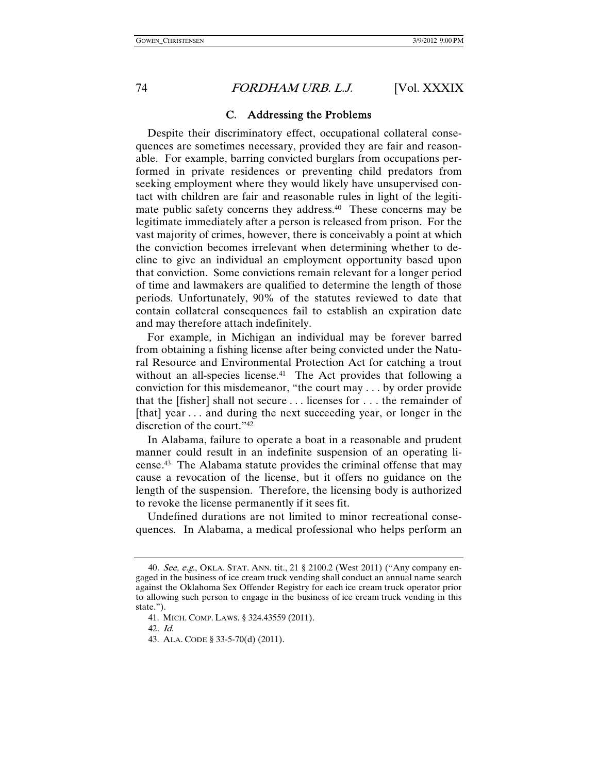C. Addressing the Problems

Despite their discriminatory effect, occupational collateral consequences are sometimes necessary, provided they are fair and reasonable. For example, barring convicted burglars from occupations performed in private residences or preventing child predators from seeking employment where they would likely have unsupervised contact with children are fair and reasonable rules in light of the legitimate public safety concerns they address.40 These concerns may be legitimate immediately after a person is released from prison. For the vast majority of crimes, however, there is conceivably a point at which the conviction becomes irrelevant when determining whether to decline to give an individual an employment opportunity based upon that conviction. Some convictions remain relevant for a longer period of time and lawmakers are qualified to determine the length of those periods. Unfortunately, 90% of the statutes reviewed to date that contain collateral consequences fail to establish an expiration date and may therefore attach indefinitely.

For example, in Michigan an individual may be forever barred from obtaining a fishing license after being convicted under the Natural Resource and Environmental Protection Act for catching a trout without an all-species license.<sup>41</sup> The Act provides that following a conviction for this misdemeanor, "the court may . . . by order provide that the [fisher] shall not secure . . . licenses for . . . the remainder of [that] year ... and during the next succeeding year, or longer in the discretion of the court."42

In Alabama, failure to operate a boat in a reasonable and prudent manner could result in an indefinite suspension of an operating license. 43 The Alabama statute provides the criminal offense that may cause a revocation of the license, but it offers no guidance on the length of the suspension. Therefore, the licensing body is authorized to revoke the license permanently if it sees fit.

Undefined durations are not limited to minor recreational consequences. In Alabama, a medical professional who helps perform an

42. Id.

<sup>40</sup>. See, e.g., OKLA. STAT. ANN. tit., 21 § 2100.2 (West 2011) ("Any company engaged in the business of ice cream truck vending shall conduct an annual name search against the Oklahoma Sex Offender Registry for each ice cream truck operator prior to allowing such person to engage in the business of ice cream truck vending in this state.").

 <sup>41.</sup> MICH. COMP. LAWS. § 324.43559 (2011).

 <sup>43.</sup> ALA. CODE § 33-5-70(d) (2011).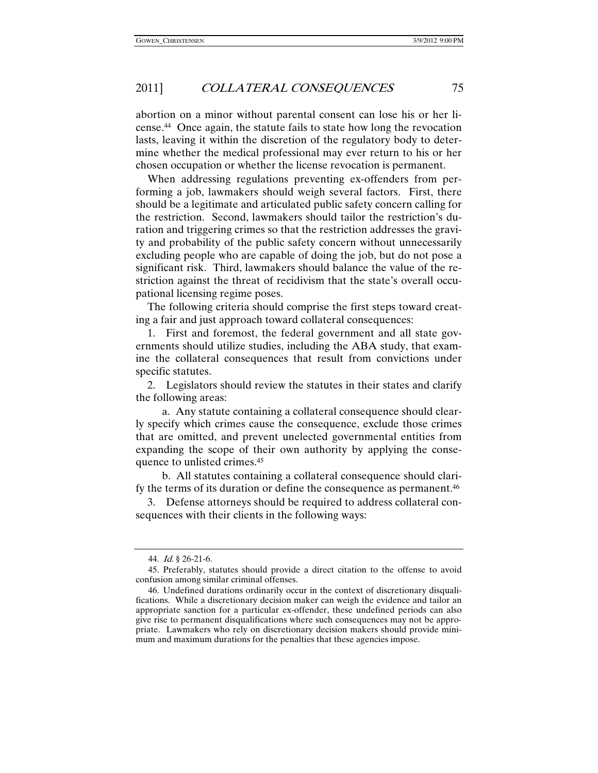abortion on a minor without parental consent can lose his or her license. 44 Once again, the statute fails to state how long the revocation lasts, leaving it within the discretion of the regulatory body to determine whether the medical professional may ever return to his or her chosen occupation or whether the license revocation is permanent.

When addressing regulations preventing ex-offenders from performing a job, lawmakers should weigh several factors. First, there should be a legitimate and articulated public safety concern calling for the restriction. Second, lawmakers should tailor the restriction's duration and triggering crimes so that the restriction addresses the gravity and probability of the public safety concern without unnecessarily excluding people who are capable of doing the job, but do not pose a significant risk. Third, lawmakers should balance the value of the restriction against the threat of recidivism that the state's overall occupational licensing regime poses.

The following criteria should comprise the first steps toward creating a fair and just approach toward collateral consequences:

1. First and foremost, the federal government and all state governments should utilize studies, including the ABA study, that examine the collateral consequences that result from convictions under specific statutes.

2. Legislators should review the statutes in their states and clarify the following areas:

 a. Any statute containing a collateral consequence should clearly specify which crimes cause the consequence, exclude those crimes that are omitted, and prevent unelected governmental entities from expanding the scope of their own authority by applying the consequence to unlisted crimes.45

 b. All statutes containing a collateral consequence should clarify the terms of its duration or define the consequence as permanent.<sup>46</sup>

3. Defense attorneys should be required to address collateral consequences with their clients in the following ways:

 <sup>44.</sup> Id. § 26-21-6.

 <sup>45.</sup> Preferably, statutes should provide a direct citation to the offense to avoid confusion among similar criminal offenses.

 <sup>46.</sup> Undefined durations ordinarily occur in the context of discretionary disqualifications. While a discretionary decision maker can weigh the evidence and tailor an appropriate sanction for a particular ex-offender, these undefined periods can also give rise to permanent disqualifications where such consequences may not be appropriate. Lawmakers who rely on discretionary decision makers should provide minimum and maximum durations for the penalties that these agencies impose.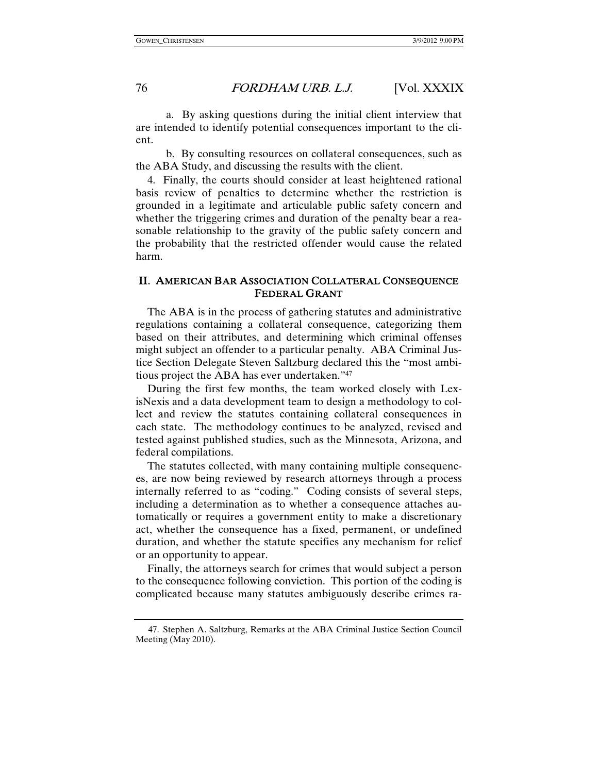a. By asking questions during the initial client interview that are intended to identify potential consequences important to the client.

 b. By consulting resources on collateral consequences, such as the ABA Study, and discussing the results with the client.

4. Finally, the courts should consider at least heightened rational basis review of penalties to determine whether the restriction is grounded in a legitimate and articulable public safety concern and whether the triggering crimes and duration of the penalty bear a reasonable relationship to the gravity of the public safety concern and the probability that the restricted offender would cause the related harm.

#### II. AMERICAN BAR ASSOCIATION COLLATERAL CONSEQUENCE FEDERAL GRANT

The ABA is in the process of gathering statutes and administrative regulations containing a collateral consequence, categorizing them based on their attributes, and determining which criminal offenses might subject an offender to a particular penalty. ABA Criminal Justice Section Delegate Steven Saltzburg declared this the "most ambitious project the ABA has ever undertaken."47

During the first few months, the team worked closely with LexisNexis and a data development team to design a methodology to collect and review the statutes containing collateral consequences in each state. The methodology continues to be analyzed, revised and tested against published studies, such as the Minnesota, Arizona, and federal compilations.

The statutes collected, with many containing multiple consequences, are now being reviewed by research attorneys through a process internally referred to as "coding." Coding consists of several steps, including a determination as to whether a consequence attaches automatically or requires a government entity to make a discretionary act, whether the consequence has a fixed, permanent, or undefined duration, and whether the statute specifies any mechanism for relief or an opportunity to appear.

Finally, the attorneys search for crimes that would subject a person to the consequence following conviction. This portion of the coding is complicated because many statutes ambiguously describe crimes ra-

 <sup>47.</sup> Stephen A. Saltzburg, Remarks at the ABA Criminal Justice Section Council Meeting (May 2010).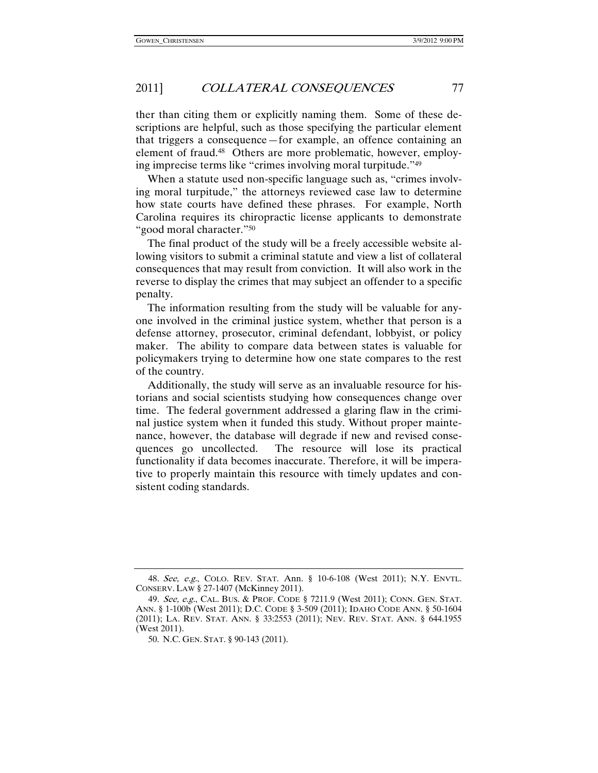ther than citing them or explicitly naming them. Some of these descriptions are helpful, such as those specifying the particular element that triggers a consequence—for example, an offence containing an element of fraud.48 Others are more problematic, however, employing imprecise terms like "crimes involving moral turpitude."49

When a statute used non-specific language such as, "crimes involving moral turpitude," the attorneys reviewed case law to determine how state courts have defined these phrases. For example, North Carolina requires its chiropractic license applicants to demonstrate "good moral character."50

The final product of the study will be a freely accessible website allowing visitors to submit a criminal statute and view a list of collateral consequences that may result from conviction. It will also work in the reverse to display the crimes that may subject an offender to a specific penalty.

The information resulting from the study will be valuable for anyone involved in the criminal justice system, whether that person is a defense attorney, prosecutor, criminal defendant, lobbyist, or policy maker. The ability to compare data between states is valuable for policymakers trying to determine how one state compares to the rest of the country.

Additionally, the study will serve as an invaluable resource for historians and social scientists studying how consequences change over time. The federal government addressed a glaring flaw in the criminal justice system when it funded this study. Without proper maintenance, however, the database will degrade if new and revised consequences go uncollected. The resource will lose its practical functionality if data becomes inaccurate. Therefore, it will be imperative to properly maintain this resource with timely updates and consistent coding standards.

<sup>48</sup>. See, e.g., COLO. REV. STAT. Ann. § 10-6-108 (West 2011); N.Y. ENVTL. CONSERV. LAW § 27-1407 (McKinney 2011).

<sup>49</sup>. See, e.g., CAL. BUS. & PROF. CODE § 7211.9 (West 2011); CONN. GEN. STAT. ANN. § 1-100b (West 2011); D.C. CODE § 3-509 (2011); IDAHO CODE ANN. § 50-1604 (2011); LA. REV. STAT. ANN. § 33:2553 (2011); NEV. REV. STAT. ANN. § 644.1955 (West 2011).

 <sup>50.</sup> N.C. GEN. STAT. § 90-143 (2011).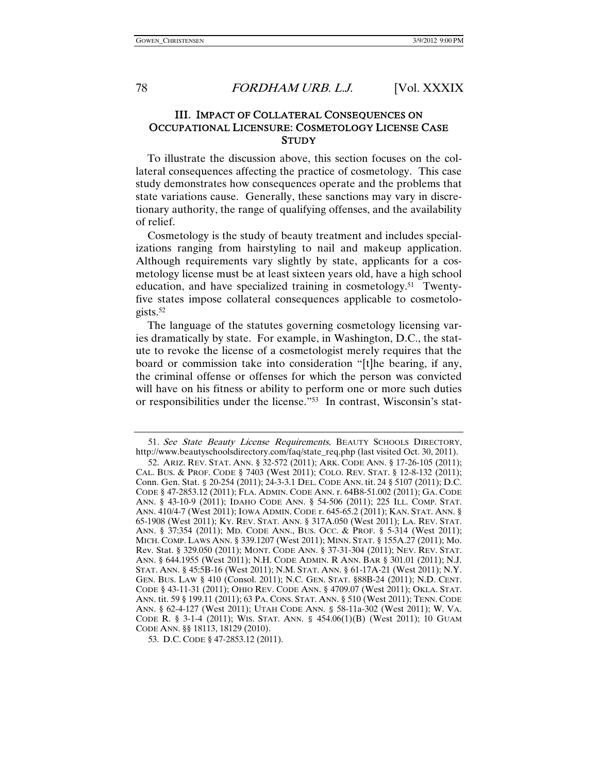#### III. IMPACT OF COLLATERAL CONSEQUENCES ON OCCUPATIONAL LICENSURE: COSMETOLOGY LICENSE CASE **STUDY**

To illustrate the discussion above, this section focuses on the collateral consequences affecting the practice of cosmetology. This case study demonstrates how consequences operate and the problems that state variations cause. Generally, these sanctions may vary in discretionary authority, the range of qualifying offenses, and the availability of relief.

Cosmetology is the study of beauty treatment and includes specializations ranging from hairstyling to nail and makeup application. Although requirements vary slightly by state, applicants for a cosmetology license must be at least sixteen years old, have a high school education, and have specialized training in cosmetology.<sup>51</sup> Twentyfive states impose collateral consequences applicable to cosmetologists.52

The language of the statutes governing cosmetology licensing varies dramatically by state. For example, in Washington, D.C., the statute to revoke the license of a cosmetologist merely requires that the board or commission take into consideration "[t]he bearing, if any, the criminal offense or offenses for which the person was convicted will have on his fitness or ability to perform one or more such duties or responsibilities under the license."53 In contrast, Wisconsin's stat-

<sup>51.</sup> See State Beauty License Requirements, BEAUTY SCHOOLS DIRECTORY, http://www.beautyschoolsdirectory.com/faq/state\_req.php (last visited Oct. 30, 2011).

 <sup>52.</sup> ARIZ. REV. STAT. ANN. § 32-572 (2011); ARK. CODE ANN. § 17-26-105 (2011); CAL. BUS. & PROF. CODE § 7403 (West 2011); COLO. REV. STAT. § 12-8-132 (2011); Conn. Gen. Stat. § 20-254 (2011); 24-3-3.1 DEL. CODE ANN. tit. 24 § 5107 (2011); D.C. CODE § 47-2853.12 (2011); FLA. ADMIN. CODE ANN. r. 64B8-51.002 (2011); GA. CODE ANN. § 43-10-9 (2011); IDAHO CODE ANN. § 54-506 (2011); 225 ILL. COMP. STAT. ANN. 410/4-7 (West 2011); IOWA ADMIN. CODE r. 645-65.2 (2011); KAN. STAT. ANN. § 65-1908 (West 2011); KY. REV. STAT. ANN. § 317A.050 (West 2011); LA. REV. STAT. ANN. § 37:354 (2011); MD. CODE ANN., BUS. OCC. & PROF. § 5-314 (West 2011); MICH. COMP. LAWS ANN. § 339.1207 (West 2011); MINN. STAT. § 155A.27 (2011); Mo. Rev. Stat. § 329.050 (2011); MONT. CODE ANN. § 37-31-304 (2011); NEV. REV. STAT. ANN. § 644.1955 (West 2011); N.H. CODE ADMIN. R ANN. BAR § 301.01 (2011); N.J. STAT. ANN. § 45:5B-16 (West 2011); N.M. STAT. ANN. § 61-17A-21 (West 2011); N.Y. GEN. BUS. LAW § 410 (Consol. 2011); N.C. GEN. STAT. §88B-24 (2011); N.D. CENT. CODE § 43-11-31 (2011); OHIO REV. CODE ANN. § 4709.07 (West 2011); OKLA. STAT. ANN. tit. 59 § 199.11 (2011); 63 PA. CONS. STAT. ANN. § 510 (West 2011); TENN. CODE ANN. § 62-4-127 (West 2011); UTAH CODE ANN. § 58-11a-302 (West 2011); W. VA. CODE R. § 3-1-4 (2011); WIS. STAT. ANN. § 454.06(1)(B) (West 2011); 10 GUAM CODE ANN. §§ 18113, 18129 (2010).

 <sup>53.</sup> D.C. CODE § 47-2853.12 (2011).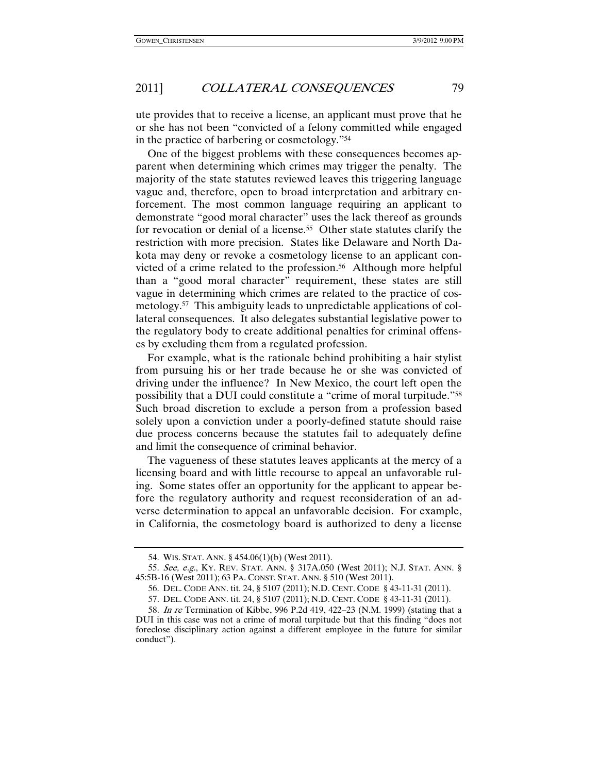ute provides that to receive a license, an applicant must prove that he or she has not been "convicted of a felony committed while engaged in the practice of barbering or cosmetology."54

One of the biggest problems with these consequences becomes apparent when determining which crimes may trigger the penalty. The majority of the state statutes reviewed leaves this triggering language vague and, therefore, open to broad interpretation and arbitrary enforcement. The most common language requiring an applicant to demonstrate "good moral character" uses the lack thereof as grounds for revocation or denial of a license.<sup>55</sup> Other state statutes clarify the restriction with more precision. States like Delaware and North Dakota may deny or revoke a cosmetology license to an applicant convicted of a crime related to the profession.<sup>56</sup> Although more helpful than a "good moral character" requirement, these states are still vague in determining which crimes are related to the practice of cosmetology.57 This ambiguity leads to unpredictable applications of collateral consequences. It also delegates substantial legislative power to the regulatory body to create additional penalties for criminal offenses by excluding them from a regulated profession.

For example, what is the rationale behind prohibiting a hair stylist from pursuing his or her trade because he or she was convicted of driving under the influence? In New Mexico, the court left open the possibility that a DUI could constitute a "crime of moral turpitude."58 Such broad discretion to exclude a person from a profession based solely upon a conviction under a poorly-defined statute should raise due process concerns because the statutes fail to adequately define and limit the consequence of criminal behavior.

The vagueness of these statutes leaves applicants at the mercy of a licensing board and with little recourse to appeal an unfavorable ruling. Some states offer an opportunity for the applicant to appear before the regulatory authority and request reconsideration of an adverse determination to appeal an unfavorable decision. For example, in California, the cosmetology board is authorized to deny a license

 <sup>54.</sup> WIS. STAT. ANN. § 454.06(1)(b) (West 2011).

 <sup>55.</sup> See, e.g., KY. REV. STAT. ANN. § 317A.050 (West 2011); N.J. STAT. ANN. § 45:5B-16 (West 2011); 63 PA. CONST. STAT. ANN. § 510 (West 2011).

 <sup>56.</sup> DEL. CODE ANN. tit. 24, § 5107 (2011); N.D. CENT. CODE § 43-11-31 (2011).

<sup>57</sup>. DEL. CODE ANN. tit. 24, § 5107 (2011); N.D. CENT. CODE § 43-11-31 (2011).

<sup>58</sup>. In re Termination of Kibbe, 996 P.2d 419, 422–23 (N.M. 1999) (stating that a DUI in this case was not a crime of moral turpitude but that this finding "does not foreclose disciplinary action against a different employee in the future for similar conduct").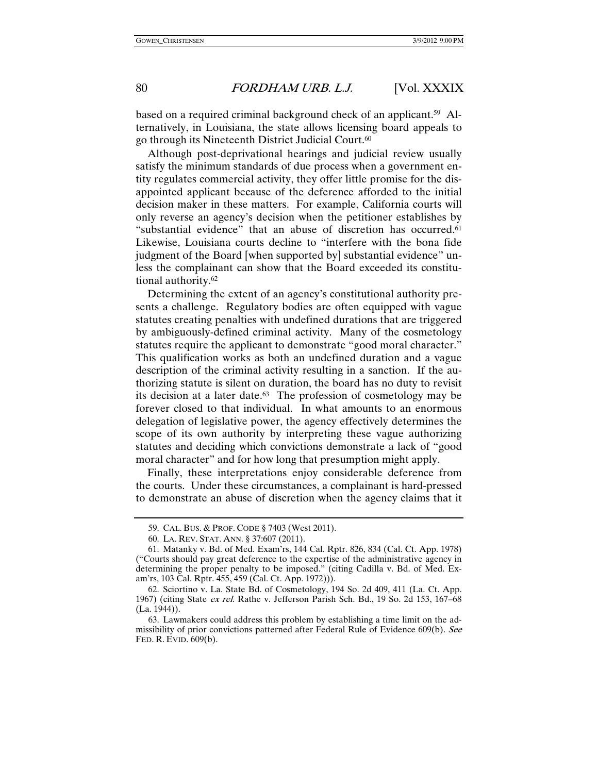based on a required criminal background check of an applicant.<sup>59</sup> Alternatively, in Louisiana, the state allows licensing board appeals to go through its Nineteenth District Judicial Court.<sup>60</sup>

Although post-deprivational hearings and judicial review usually satisfy the minimum standards of due process when a government entity regulates commercial activity, they offer little promise for the disappointed applicant because of the deference afforded to the initial decision maker in these matters. For example, California courts will only reverse an agency's decision when the petitioner establishes by "substantial evidence" that an abuse of discretion has occurred.<sup>61</sup> Likewise, Louisiana courts decline to "interfere with the bona fide judgment of the Board [when supported by] substantial evidence" unless the complainant can show that the Board exceeded its constitutional authority.62

Determining the extent of an agency's constitutional authority presents a challenge. Regulatory bodies are often equipped with vague statutes creating penalties with undefined durations that are triggered by ambiguously-defined criminal activity. Many of the cosmetology statutes require the applicant to demonstrate "good moral character." This qualification works as both an undefined duration and a vague description of the criminal activity resulting in a sanction. If the authorizing statute is silent on duration, the board has no duty to revisit its decision at a later date.63 The profession of cosmetology may be forever closed to that individual. In what amounts to an enormous delegation of legislative power, the agency effectively determines the scope of its own authority by interpreting these vague authorizing statutes and deciding which convictions demonstrate a lack of "good moral character" and for how long that presumption might apply.

Finally, these interpretations enjoy considerable deference from the courts. Under these circumstances, a complainant is hard-pressed to demonstrate an abuse of discretion when the agency claims that it

 <sup>59.</sup> CAL. BUS. & PROF. CODE § 7403 (West 2011).

 <sup>60.</sup> LA. REV. STAT. ANN. § 37:607 (2011).

 <sup>61.</sup> Matanky v. Bd. of Med. Exam'rs, 144 Cal. Rptr. 826, 834 (Cal. Ct. App. 1978) ("Courts should pay great deference to the expertise of the administrative agency in determining the proper penalty to be imposed." (citing Cadilla v. Bd. of Med. Exam'rs, 103 Cal. Rptr. 455, 459 (Cal. Ct. App. 1972))).

 <sup>62.</sup> Sciortino v. La. State Bd. of Cosmetology, 194 So. 2d 409, 411 (La. Ct. App. 1967) (citing State ex rel. Rathe v. Jefferson Parish Sch. Bd., 19 So. 2d 153, 167–68 (La. 1944)).

 <sup>63.</sup> Lawmakers could address this problem by establishing a time limit on the admissibility of prior convictions patterned after Federal Rule of Evidence 609(b). See FED. R. EVID. 609(b).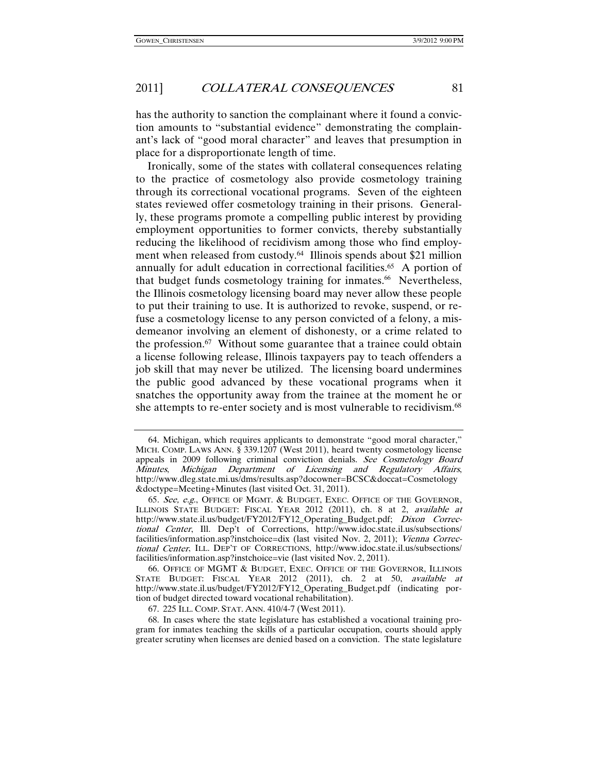has the authority to sanction the complainant where it found a conviction amounts to "substantial evidence" demonstrating the complainant's lack of "good moral character" and leaves that presumption in place for a disproportionate length of time.

Ironically, some of the states with collateral consequences relating to the practice of cosmetology also provide cosmetology training through its correctional vocational programs. Seven of the eighteen states reviewed offer cosmetology training in their prisons. Generally, these programs promote a compelling public interest by providing employment opportunities to former convicts, thereby substantially reducing the likelihood of recidivism among those who find employment when released from custody.<sup>64</sup> Illinois spends about \$21 million annually for adult education in correctional facilities.<sup>65</sup> A portion of that budget funds cosmetology training for inmates.<sup>66</sup> Nevertheless, the Illinois cosmetology licensing board may never allow these people to put their training to use. It is authorized to revoke, suspend, or refuse a cosmetology license to any person convicted of a felony, a misdemeanor involving an element of dishonesty, or a crime related to the profession.67 Without some guarantee that a trainee could obtain a license following release, Illinois taxpayers pay to teach offenders a job skill that may never be utilized. The licensing board undermines the public good advanced by these vocational programs when it snatches the opportunity away from the trainee at the moment he or she attempts to re-enter society and is most vulnerable to recidivism.<sup>68</sup>

 <sup>64.</sup> Michigan, which requires applicants to demonstrate "good moral character," MICH. COMP. LAWS ANN. § 339.1207 (West 2011), heard twenty cosmetology license appeals in 2009 following criminal conviction denials. See Cosmetology Board Minutes, Michigan Department of Licensing and Regulatory Affairs, http://www.dleg.state.mi.us/dms/results.asp?docowner=BCSC&doccat=Cosmetology &doctype=Meeting+Minutes (last visited Oct. 31, 2011).

<sup>65.</sup> See, e.g., OFFICE OF MGMT. & BUDGET, EXEC. OFFICE OF THE GOVERNOR, ILLINOIS STATE BUDGET: FISCAL YEAR 2012 (2011), ch. 8 at 2, available at http://www.state.il.us/budget/FY2012/FY12\_Operating\_Budget.pdf; Dixon Correctional Center, Ill. Dep't of Corrections, http://www.idoc.state.il.us/subsections/ facilities/information.asp?instchoice=dix (last visited Nov. 2, 2011); Vienna Correctional Center, ILL. DEP'T OF CORRECTIONS, http://www.idoc.state.il.us/subsections/ facilities/information.asp?instchoice=vie (last visited Nov. 2, 2011).

 <sup>66.</sup> OFFICE OF MGMT & BUDGET, EXEC. OFFICE OF THE GOVERNOR, ILLINOIS STATE BUDGET: FISCAL YEAR 2012 (2011), ch. 2 at 50, available at http://www.state.il.us/budget/FY2012/FY12\_Operating\_Budget.pdf (indicating portion of budget directed toward vocational rehabilitation).

 <sup>67. 225</sup> ILL. COMP. STAT. ANN. 410/4-7 (West 2011).

 <sup>68.</sup> In cases where the state legislature has established a vocational training program for inmates teaching the skills of a particular occupation, courts should apply greater scrutiny when licenses are denied based on a conviction. The state legislature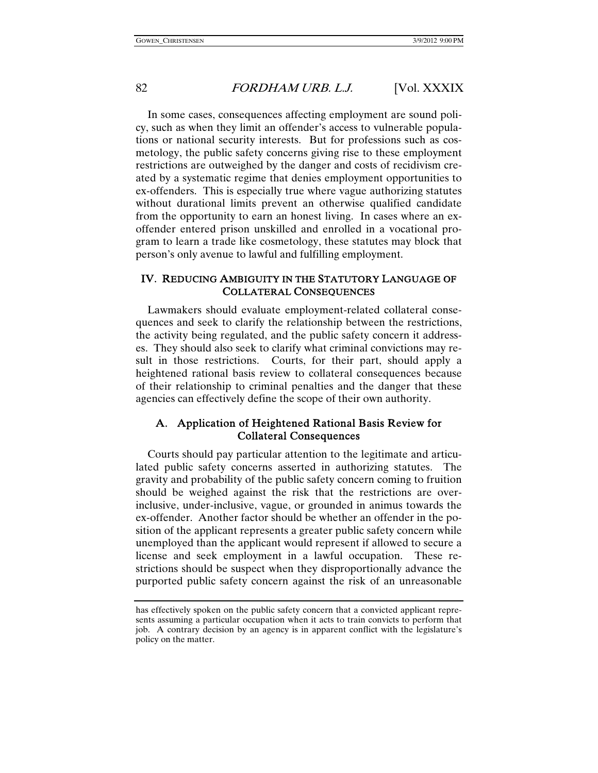In some cases, consequences affecting employment are sound policy, such as when they limit an offender's access to vulnerable populations or national security interests. But for professions such as cosmetology, the public safety concerns giving rise to these employment restrictions are outweighed by the danger and costs of recidivism created by a systematic regime that denies employment opportunities to ex-offenders. This is especially true where vague authorizing statutes without durational limits prevent an otherwise qualified candidate from the opportunity to earn an honest living. In cases where an exoffender entered prison unskilled and enrolled in a vocational program to learn a trade like cosmetology, these statutes may block that person's only avenue to lawful and fulfilling employment.

#### IV. REDUCING AMBIGUITY IN THE STATUTORY LANGUAGE OF COLLATERAL CONSEQUENCES

Lawmakers should evaluate employment-related collateral consequences and seek to clarify the relationship between the restrictions, the activity being regulated, and the public safety concern it addresses. They should also seek to clarify what criminal convictions may result in those restrictions. Courts, for their part, should apply a heightened rational basis review to collateral consequences because of their relationship to criminal penalties and the danger that these agencies can effectively define the scope of their own authority.

#### A. Application of Heightened Rational Basis Review for Collateral Consequences

Courts should pay particular attention to the legitimate and articulated public safety concerns asserted in authorizing statutes. The gravity and probability of the public safety concern coming to fruition should be weighed against the risk that the restrictions are overinclusive, under-inclusive, vague, or grounded in animus towards the ex-offender. Another factor should be whether an offender in the position of the applicant represents a greater public safety concern while unemployed than the applicant would represent if allowed to secure a license and seek employment in a lawful occupation. These restrictions should be suspect when they disproportionally advance the purported public safety concern against the risk of an unreasonable

has effectively spoken on the public safety concern that a convicted applicant represents assuming a particular occupation when it acts to train convicts to perform that job. A contrary decision by an agency is in apparent conflict with the legislature's policy on the matter.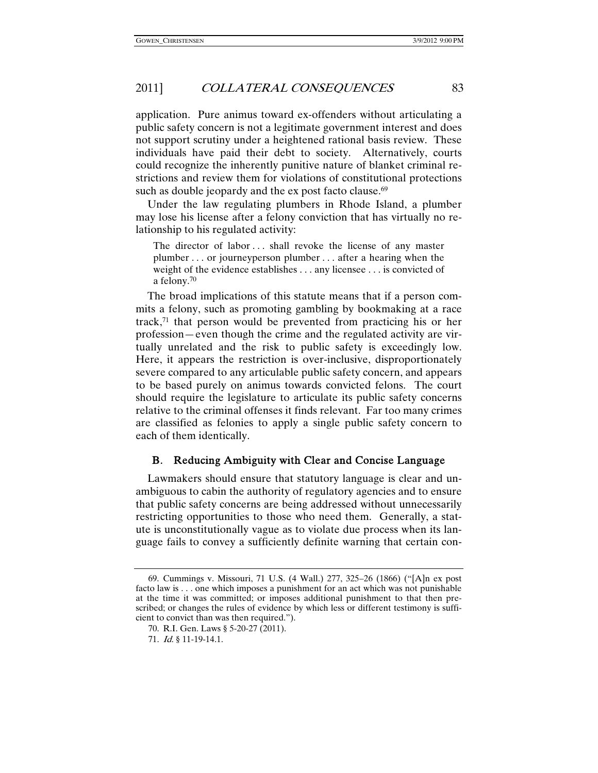application. Pure animus toward ex-offenders without articulating a public safety concern is not a legitimate government interest and does not support scrutiny under a heightened rational basis review. These individuals have paid their debt to society. Alternatively, courts could recognize the inherently punitive nature of blanket criminal restrictions and review them for violations of constitutional protections such as double jeopardy and the ex post facto clause.<sup>69</sup>

Under the law regulating plumbers in Rhode Island, a plumber may lose his license after a felony conviction that has virtually no relationship to his regulated activity:

The director of labor ... shall revoke the license of any master plumber . . . or journeyperson plumber . . . after a hearing when the weight of the evidence establishes . . . any licensee . . . is convicted of a felony.70

The broad implications of this statute means that if a person commits a felony, such as promoting gambling by bookmaking at a race track,71 that person would be prevented from practicing his or her profession—even though the crime and the regulated activity are virtually unrelated and the risk to public safety is exceedingly low. Here, it appears the restriction is over-inclusive, disproportionately severe compared to any articulable public safety concern, and appears to be based purely on animus towards convicted felons. The court should require the legislature to articulate its public safety concerns relative to the criminal offenses it finds relevant. Far too many crimes are classified as felonies to apply a single public safety concern to each of them identically.

#### B. Reducing Ambiguity with Clear and Concise Language

Lawmakers should ensure that statutory language is clear and unambiguous to cabin the authority of regulatory agencies and to ensure that public safety concerns are being addressed without unnecessarily restricting opportunities to those who need them. Generally, a statute is unconstitutionally vague as to violate due process when its language fails to convey a sufficiently definite warning that certain con-

 <sup>69.</sup> Cummings v. Missouri, 71 U.S. (4 Wall.) 277, 325–26 (1866) ("[A]n ex post facto law is . . . one which imposes a punishment for an act which was not punishable at the time it was committed; or imposes additional punishment to that then prescribed; or changes the rules of evidence by which less or different testimony is sufficient to convict than was then required.").

<sup>70.</sup> R.I. Gen. Laws § 5-20-27 (2011).

 <sup>71.</sup> Id. § 11-19-14.1.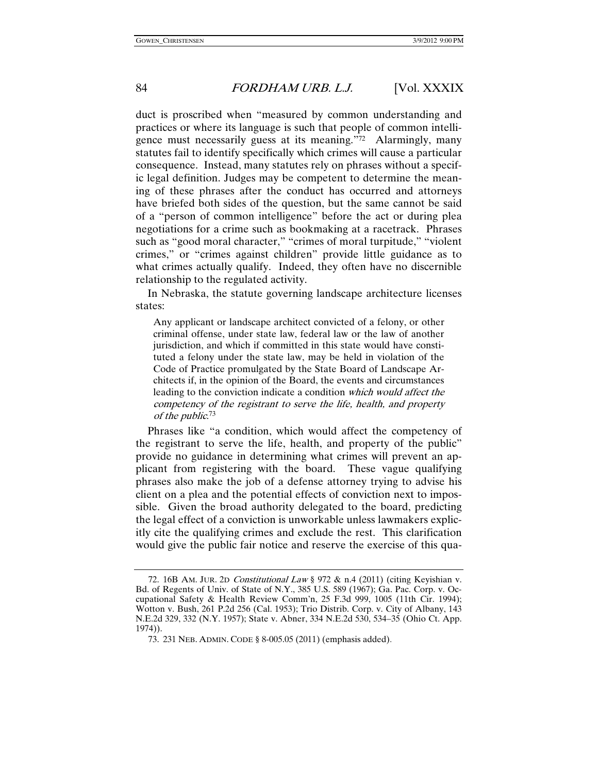duct is proscribed when "measured by common understanding and practices or where its language is such that people of common intelligence must necessarily guess at its meaning."72 Alarmingly, many statutes fail to identify specifically which crimes will cause a particular consequence. Instead, many statutes rely on phrases without a specific legal definition. Judges may be competent to determine the meaning of these phrases after the conduct has occurred and attorneys have briefed both sides of the question, but the same cannot be said of a "person of common intelligence" before the act or during plea negotiations for a crime such as bookmaking at a racetrack. Phrases such as "good moral character," "crimes of moral turpitude," "violent crimes," or "crimes against children" provide little guidance as to what crimes actually qualify. Indeed, they often have no discernible relationship to the regulated activity.

In Nebraska, the statute governing landscape architecture licenses states:

Any applicant or landscape architect convicted of a felony, or other criminal offense, under state law, federal law or the law of another jurisdiction, and which if committed in this state would have constituted a felony under the state law, may be held in violation of the Code of Practice promulgated by the State Board of Landscape Architects if, in the opinion of the Board, the events and circumstances leading to the conviction indicate a condition which would affect the competency of the registrant to serve the life, health, and property of the public. 73

Phrases like "a condition, which would affect the competency of the registrant to serve the life, health, and property of the public" provide no guidance in determining what crimes will prevent an applicant from registering with the board. These vague qualifying phrases also make the job of a defense attorney trying to advise his client on a plea and the potential effects of conviction next to impossible. Given the broad authority delegated to the board, predicting the legal effect of a conviction is unworkable unless lawmakers explicitly cite the qualifying crimes and exclude the rest. This clarification would give the public fair notice and reserve the exercise of this qua-

<sup>72. 16</sup>B AM. JUR. 2D Constitutional Law § 972 & n.4 (2011) (citing Keyishian v. Bd. of Regents of Univ. of State of N.Y., 385 U.S. 589 (1967); Ga. Pac. Corp. v. Occupational Safety & Health Review Comm'n, 25 F.3d 999, 1005 (11th Cir. 1994); Wotton v. Bush, 261 P.2d 256 (Cal. 1953); Trio Distrib. Corp. v. City of Albany, 143 N.E.2d 329, 332 (N.Y. 1957); State v. Abner, 334 N.E.2d 530, 534–35 (Ohio Ct. App. 1974)).

 <sup>73. 231</sup> NEB. ADMIN. CODE § 8-005.05 (2011) (emphasis added).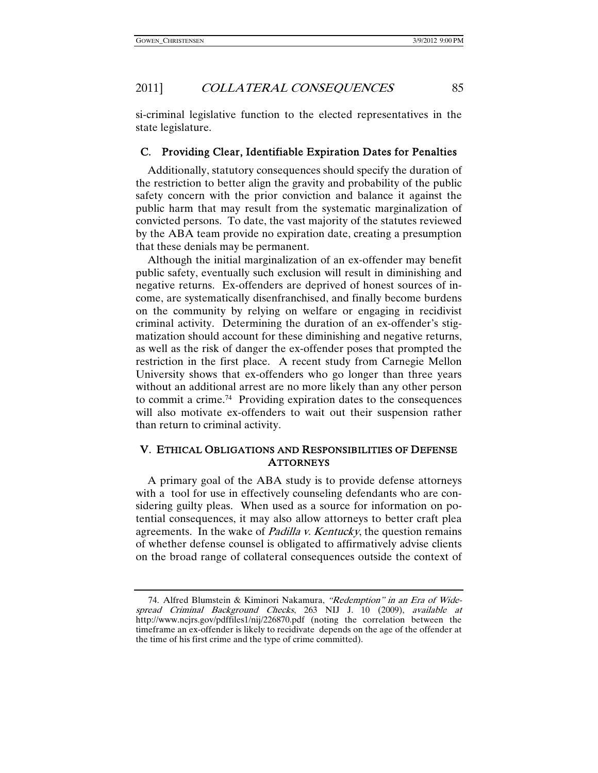si-criminal legislative function to the elected representatives in the state legislature.

#### C. Providing Clear, Identifiable Expiration Dates for Penalties

Additionally, statutory consequences should specify the duration of the restriction to better align the gravity and probability of the public safety concern with the prior conviction and balance it against the public harm that may result from the systematic marginalization of convicted persons. To date, the vast majority of the statutes reviewed by the ABA team provide no expiration date, creating a presumption that these denials may be permanent.

Although the initial marginalization of an ex-offender may benefit public safety, eventually such exclusion will result in diminishing and negative returns. Ex-offenders are deprived of honest sources of income, are systematically disenfranchised, and finally become burdens on the community by relying on welfare or engaging in recidivist criminal activity. Determining the duration of an ex-offender's stigmatization should account for these diminishing and negative returns, as well as the risk of danger the ex-offender poses that prompted the restriction in the first place. A recent study from Carnegie Mellon University shows that ex-offenders who go longer than three years without an additional arrest are no more likely than any other person to commit a crime.74 Providing expiration dates to the consequences will also motivate ex-offenders to wait out their suspension rather than return to criminal activity.

#### V. ETHICAL OBLIGATIONS AND RESPONSIBILITIES OF DEFENSE **ATTORNEYS**

A primary goal of the ABA study is to provide defense attorneys with a tool for use in effectively counseling defendants who are considering guilty pleas. When used as a source for information on potential consequences, it may also allow attorneys to better craft plea agreements. In the wake of *Padilla v. Kentucky*, the question remains of whether defense counsel is obligated to affirmatively advise clients on the broad range of collateral consequences outside the context of

 <sup>74.</sup> Alfred Blumstein & Kiminori Nakamura, "Redemption" in an Era of Widespread Criminal Background Checks, 263 NIJ J. 10 (2009), available at http://www.ncjrs.gov/pdffiles1/nij/226870.pdf (noting the correlation between the timeframe an ex-offender is likely to recidivate depends on the age of the offender at the time of his first crime and the type of crime committed).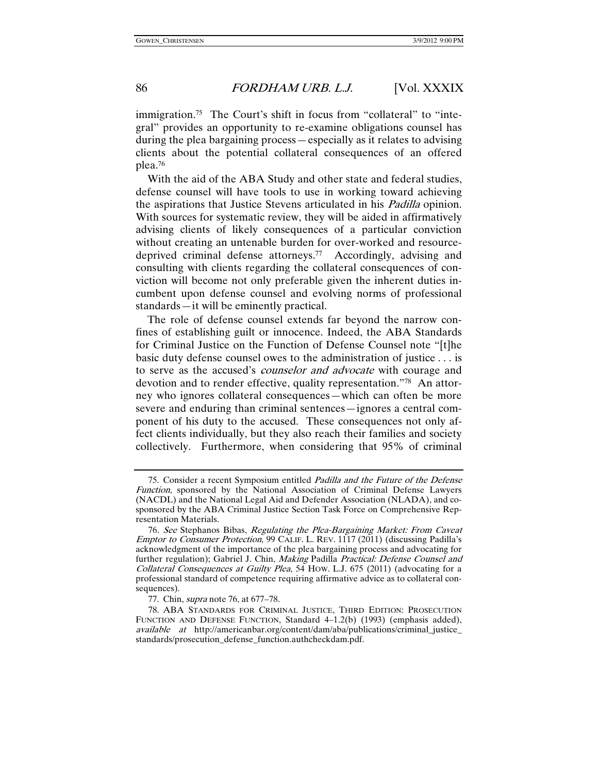immigration.<sup>75</sup> The Court's shift in focus from "collateral" to "integral" provides an opportunity to re-examine obligations counsel has during the plea bargaining process—especially as it relates to advising clients about the potential collateral consequences of an offered plea.76

With the aid of the ABA Study and other state and federal studies, defense counsel will have tools to use in working toward achieving the aspirations that Justice Stevens articulated in his Padilla opinion. With sources for systematic review, they will be aided in affirmatively advising clients of likely consequences of a particular conviction without creating an untenable burden for over-worked and resourcedeprived criminal defense attorneys.77 Accordingly, advising and consulting with clients regarding the collateral consequences of conviction will become not only preferable given the inherent duties incumbent upon defense counsel and evolving norms of professional standards—it will be eminently practical.

The role of defense counsel extends far beyond the narrow confines of establishing guilt or innocence. Indeed, the ABA Standards for Criminal Justice on the Function of Defense Counsel note "[t]he basic duty defense counsel owes to the administration of justice . . . is to serve as the accused's counselor and advocate with courage and devotion and to render effective, quality representation."78 An attorney who ignores collateral consequences—which can often be more severe and enduring than criminal sentences—ignores a central component of his duty to the accused. These consequences not only affect clients individually, but they also reach their families and society collectively. Furthermore, when considering that 95% of criminal

 <sup>75.</sup> Consider a recent Symposium entitled Padilla and the Future of the Defense Function, sponsored by the National Association of Criminal Defense Lawyers (NACDL) and the National Legal Aid and Defender Association (NLADA), and cosponsored by the ABA Criminal Justice Section Task Force on Comprehensive Representation Materials.

<sup>76</sup>. See Stephanos Bibas, Regulating the Plea-Bargaining Market: From Caveat Emptor to Consumer Protection, 99 CALIF. L. REV. 1117 (2011) (discussing Padilla's acknowledgment of the importance of the plea bargaining process and advocating for further regulation); Gabriel J. Chin, Making Padilla Practical: Defense Counsel and Collateral Consequences at Guilty Plea, 54 HOW. L.J. 675 (2011) (advocating for a professional standard of competence requiring affirmative advice as to collateral consequences).

 <sup>77.</sup> Chin, supra note 76, at 677–78.

 <sup>78.</sup> ABA STANDARDS FOR CRIMINAL JUSTICE, THIRD EDITION: PROSECUTION FUNCTION AND DEFENSE FUNCTION, Standard 4–1.2(b) (1993) (emphasis added), available at http://americanbar.org/content/dam/aba/publications/criminal\_justice\_ standards/prosecution\_defense\_function.authcheckdam.pdf.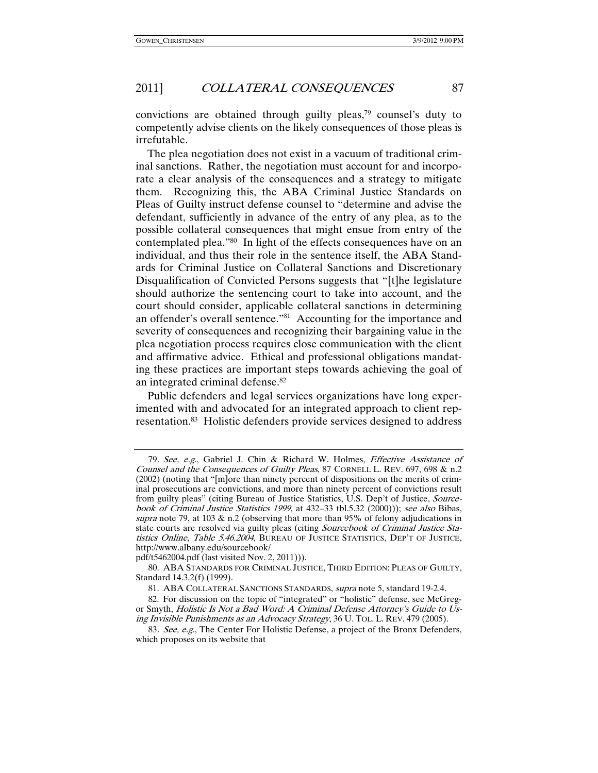convictions are obtained through guilty pleas,79 counsel's duty to competently advise clients on the likely consequences of those pleas is irrefutable.

The plea negotiation does not exist in a vacuum of traditional criminal sanctions. Rather, the negotiation must account for and incorporate a clear analysis of the consequences and a strategy to mitigate them. Recognizing this, the ABA Criminal Justice Standards on Pleas of Guilty instruct defense counsel to "determine and advise the defendant, sufficiently in advance of the entry of any plea, as to the possible collateral consequences that might ensue from entry of the contemplated plea."80 In light of the effects consequences have on an individual, and thus their role in the sentence itself, the ABA Standards for Criminal Justice on Collateral Sanctions and Discretionary Disqualification of Convicted Persons suggests that "[t]he legislature should authorize the sentencing court to take into account, and the court should consider, applicable collateral sanctions in determining an offender's overall sentence."81 Accounting for the importance and severity of consequences and recognizing their bargaining value in the plea negotiation process requires close communication with the client and affirmative advice. Ethical and professional obligations mandating these practices are important steps towards achieving the goal of an integrated criminal defense.82

Public defenders and legal services organizations have long experimented with and advocated for an integrated approach to client representation.83 Holistic defenders provide services designed to address

pdf/t5462004.pdf (last visited Nov. 2, 2011))).

<sup>79</sup>. See, e.g., Gabriel J. Chin & Richard W. Holmes, Effective Assistance of Counsel and the Consequences of Guilty Pleas, 87 CORNELL L. REV. 697, 698 & n.2 (2002) (noting that "[m]ore than ninety percent of dispositions on the merits of criminal prosecutions are convictions, and more than ninety percent of convictions result from guilty pleas" (citing Bureau of Justice Statistics, U.S. Dep't of Justice, Sourcebook of Criminal Justice Statistics 1999, at 432-33 tbl.5.32 (2000))); see also Bibas, supra note 79, at 103  $\&$  n.2 (observing that more than 95% of felony adjudications in state courts are resolved via guilty pleas (citing *Sourcebook of Criminal Justice Sta*tistics Online, Table 5.46.2004, BUREAU OF JUSTICE STATISTICS, DEP'T OF JUSTICE, http://www.albany.edu/sourcebook/

 <sup>80.</sup> ABA STANDARDS FOR CRIMINAL JUSTICE, THIRD EDITION: PLEAS OF GUILTY, Standard 14.3.2(f) (1999).

 <sup>81.</sup> ABA COLLATERAL SANCTIONS STANDARDS, supra note 5, standard 19-2.4.

 <sup>82.</sup> For discussion on the topic of "integrated" or "holistic" defense, see McGregor Smyth, Holistic Is Not a Bad Word: A Criminal Defense Attorney's Guide to Using Invisible Punishments as an Advocacy Strategy, 36 U. TOL. L. REV. 479 (2005).

<sup>83.</sup> See, e.g., The Center For Holistic Defense, a project of the Bronx Defenders, which proposes on its website that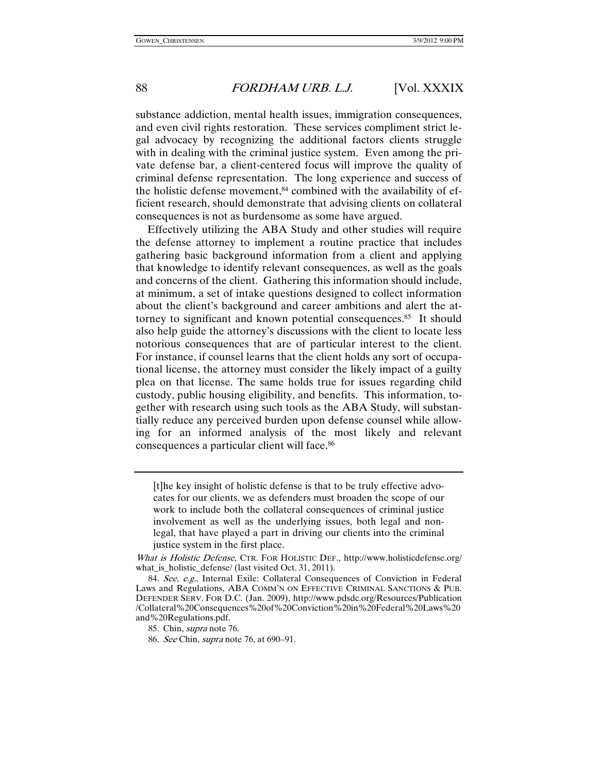substance addiction, mental health issues, immigration consequences, and even civil rights restoration. These services compliment strict legal advocacy by recognizing the additional factors clients struggle with in dealing with the criminal justice system. Even among the private defense bar, a client-centered focus will improve the quality of criminal defense representation. The long experience and success of the holistic defense movement, $84$  combined with the availability of efficient research, should demonstrate that advising clients on collateral consequences is not as burdensome as some have argued.

Effectively utilizing the ABA Study and other studies will require the defense attorney to implement a routine practice that includes gathering basic background information from a client and applying that knowledge to identify relevant consequences, as well as the goals and concerns of the client. Gathering this information should include, at minimum, a set of intake questions designed to collect information about the client's background and career ambitions and alert the attorney to significant and known potential consequences.85 It should also help guide the attorney's discussions with the client to locate less notorious consequences that are of particular interest to the client. For instance, if counsel learns that the client holds any sort of occupational license, the attorney must consider the likely impact of a guilty plea on that license. The same holds true for issues regarding child custody, public housing eligibility, and benefits. This information, together with research using such tools as the ABA Study, will substantially reduce any perceived burden upon defense counsel while allowing for an informed analysis of the most likely and relevant consequences a particular client will face.86

[t]he key insight of holistic defense is that to be truly effective advocates for our clients, we as defenders must broaden the scope of our work to include both the collateral consequences of criminal justice involvement as well as the underlying issues, both legal and nonlegal, that have played a part in driving our clients into the criminal justice system in the first place.

85. Chin, supra note 76.

What is Holistic Defense, CTR. FOR HOLISTIC DEF., http://www.holisticdefense.org/ what\_is\_holistic\_defense/ (last visited Oct. 31, 2011).

<sup>84</sup>. See, e.g., Internal Exile: Collateral Consequences of Conviction in Federal Laws and Regulations, ABA COMM'N ON EFFECTIVE CRIMINAL SANCTIONS & PUB. DEFENDER SERV. FOR D.C. (Jan. 2009), http://www.pdsdc.org/Resources/Publication /Collateral%20Consequences%20of%20Conviction%20in%20Federal%20Laws%20 and%20Regulations.pdf.

<sup>86</sup>. See Chin, supra note 76, at 690–91.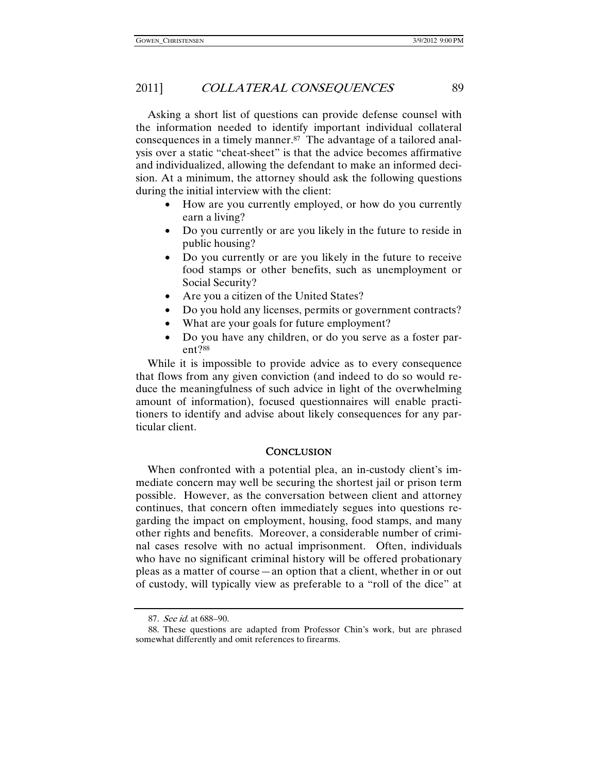Asking a short list of questions can provide defense counsel with the information needed to identify important individual collateral consequences in a timely manner.87 The advantage of a tailored analysis over a static "cheat-sheet" is that the advice becomes affirmative and individualized, allowing the defendant to make an informed decision. At a minimum, the attorney should ask the following questions during the initial interview with the client:

- How are you currently employed, or how do you currently earn a living?
- Do you currently or are you likely in the future to reside in public housing?
- Do you currently or are you likely in the future to receive food stamps or other benefits, such as unemployment or Social Security?
- Are you a citizen of the United States?
- Do you hold any licenses, permits or government contracts?
- What are your goals for future employment?
- Do you have any children, or do you serve as a foster parent?88

While it is impossible to provide advice as to every consequence that flows from any given conviction (and indeed to do so would reduce the meaningfulness of such advice in light of the overwhelming amount of information), focused questionnaires will enable practitioners to identify and advise about likely consequences for any particular client.

#### **CONCLUSION**

When confronted with a potential plea, an in-custody client's immediate concern may well be securing the shortest jail or prison term possible. However, as the conversation between client and attorney continues, that concern often immediately segues into questions regarding the impact on employment, housing, food stamps, and many other rights and benefits. Moreover, a considerable number of criminal cases resolve with no actual imprisonment. Often, individuals who have no significant criminal history will be offered probationary pleas as a matter of course—an option that a client, whether in or out of custody, will typically view as preferable to a "roll of the dice" at

<sup>87</sup>. See id. at 688–90.

 <sup>88.</sup> These questions are adapted from Professor Chin's work, but are phrased somewhat differently and omit references to firearms.